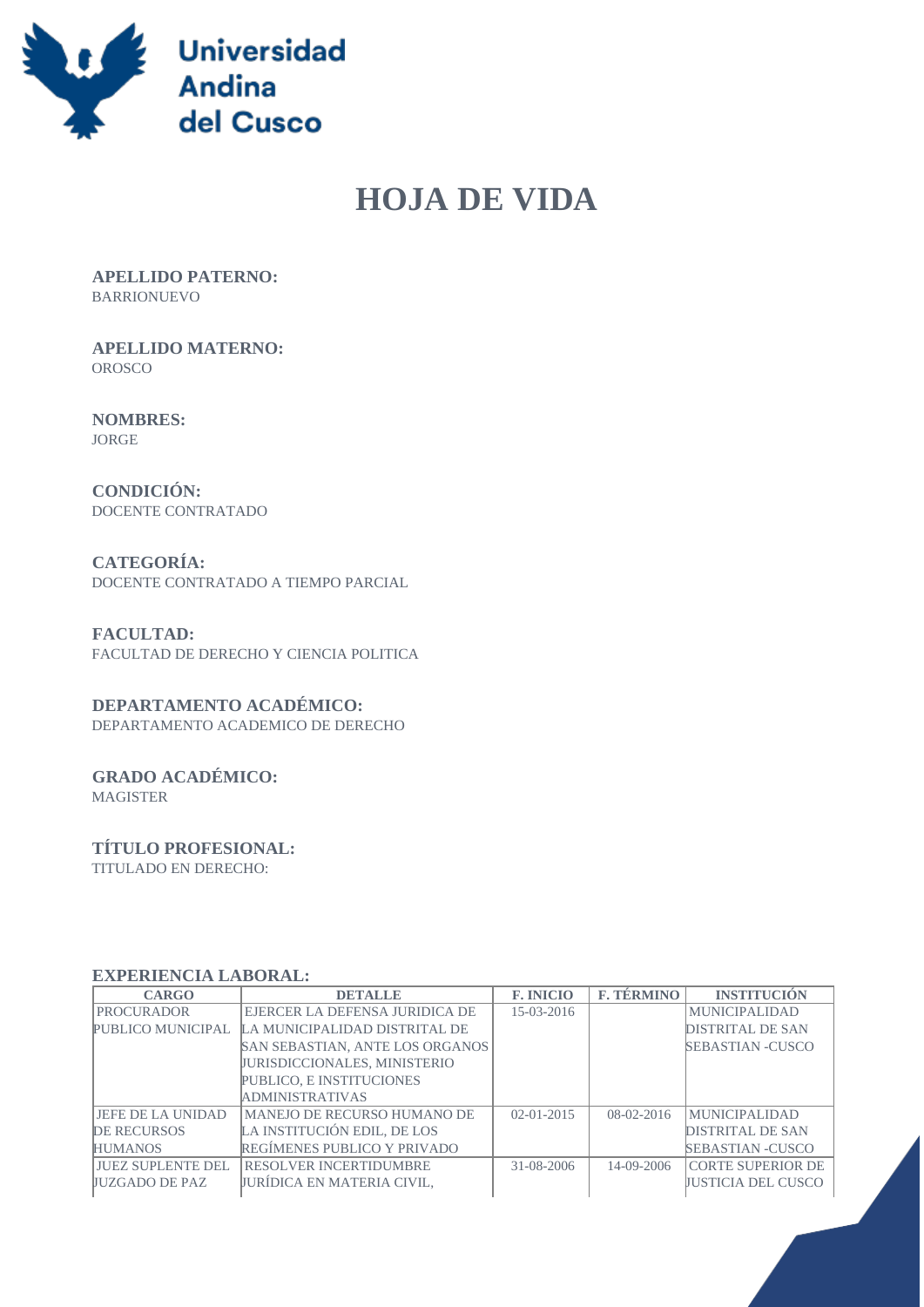

# **HOJA DE VIDA**

 **APELLIDO PATERNO:** BARRIONUEVO

 **APELLIDO MATERNO:** OROSCO

 **NOMBRES:** JORGE

 **CONDICIÓN:** DOCENTE CONTRATADO

 **CATEGORÍA:** DOCENTE CONTRATADO A TIEMPO PARCIAL

 **FACULTAD:** FACULTAD DE DERECHO Y CIENCIA POLITICA

#### **DEPARTAMENTO ACADÉMICO:**

DEPARTAMENTO ACADEMICO DE DERECHO

## **GRADO ACADÉMICO:**

MAGISTER

#### **TÍTULO PROFESIONAL:**

TITULADO EN DERECHO:

#### **EXPERIENCIA LABORAL:**

| <b>CARGO</b>              | <b>DETALLE</b>                      | <b>F. INICIO</b> | <b>F. TÉRMINO</b> | <b>INSTITUCIÓN</b>        |
|---------------------------|-------------------------------------|------------------|-------------------|---------------------------|
| <b>PROCURADOR</b>         | EJERCER LA DEFENSA JURIDICA DE      | $15-03-2016$     |                   | <b>MUNICIPALIDAD</b>      |
| PUBLICO MUNICIPAL         | LA MUNICIPALIDAD DISTRITAL DE       |                  |                   | DISTRITAL DE SAN          |
|                           | SAN SEBASTIAN, ANTE LOS ORGANOS     |                  |                   | <b>SEBASTIAN -CUSCO</b>   |
|                           | <b>JURISDICCIONALES, MINISTERIO</b> |                  |                   |                           |
|                           | PUBLICO, E INSTITUCIONES            |                  |                   |                           |
|                           | <b>ADMINISTRATIVAS</b>              |                  |                   |                           |
| LIEFE DE LA UNIDAD        | MANEJO DE RECURSO HUMANO DE         | $02 - 01 - 2015$ | $08-02-2016$      | <b>MUNICIPALIDAD</b>      |
| <b>DE RECURSOS</b>        | LA INSTITUCIÓN EDIL. DE LOS         |                  |                   | DISTRITAL DE SAN          |
| <b>HUMANOS</b>            | REGÍMENES PUBLICO Y PRIVADO         |                  |                   | <b>SEBASTIAN -CUSCO</b>   |
| <b>LIUEZ SUPLENTE DEL</b> | <b>RESOLVER INCERTIDUMBRE</b>       | 31-08-2006       | $14 - 09 - 2006$  | <b>CORTE SUPERIOR DE</b>  |
| <b>IIUZGADO DE PAZ</b>    | <b>JURÍDICA EN MATERIA CIVIL.</b>   |                  |                   | <b>JUSTICIA DEL CUSCO</b> |